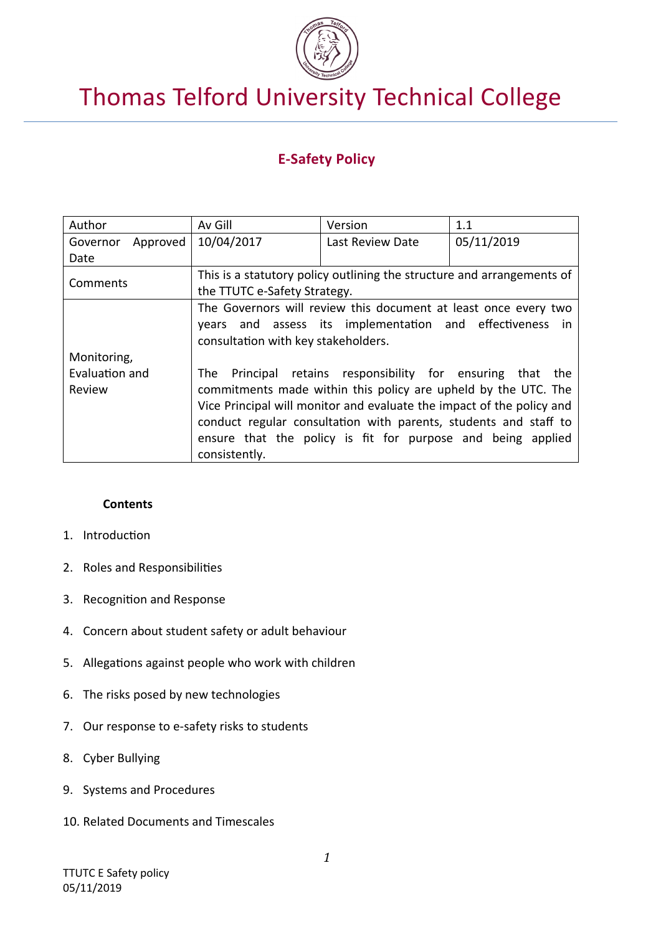

# Thomas Telford University Technical College

# **E-Safety Policy**

| Author                                                                          | Av Gill                                                                | Version          | 1.1        |  |
|---------------------------------------------------------------------------------|------------------------------------------------------------------------|------------------|------------|--|
| Approved<br>Governor                                                            | 10/04/2017                                                             | Last Review Date | 05/11/2019 |  |
| Date                                                                            |                                                                        |                  |            |  |
| Comments                                                                        | This is a statutory policy outlining the structure and arrangements of |                  |            |  |
|                                                                                 | the TTUTC e-Safety Strategy.                                           |                  |            |  |
|                                                                                 | The Governors will review this document at least once every two        |                  |            |  |
|                                                                                 | years and assess its implementation and effectiveness<br>in.           |                  |            |  |
|                                                                                 | consultation with key stakeholders.                                    |                  |            |  |
| Monitoring,                                                                     |                                                                        |                  |            |  |
| Evaluation and<br>Principal retains responsibility for ensuring that the<br>The |                                                                        |                  |            |  |
| Review                                                                          | commitments made within this policy are upheld by the UTC. The         |                  |            |  |
|                                                                                 | Vice Principal will monitor and evaluate the impact of the policy and  |                  |            |  |
|                                                                                 | conduct regular consultation with parents, students and staff to       |                  |            |  |
|                                                                                 | ensure that the policy is fit for purpose and being applied            |                  |            |  |
| consistently.                                                                   |                                                                        |                  |            |  |

#### **Contents**

- 1. Introduction
- 2. Roles and Responsibilities
- 3. Recognition and Response
- 4. Concern about student safety or adult behaviour
- 5. Allegations against people who work with children
- 6. The risks posed by new technologies
- 7. Our response to e-safety risks to students
- 8. Cyber Bullying
- 9. Systems and Procedures
- 10. Related Documents and Timescales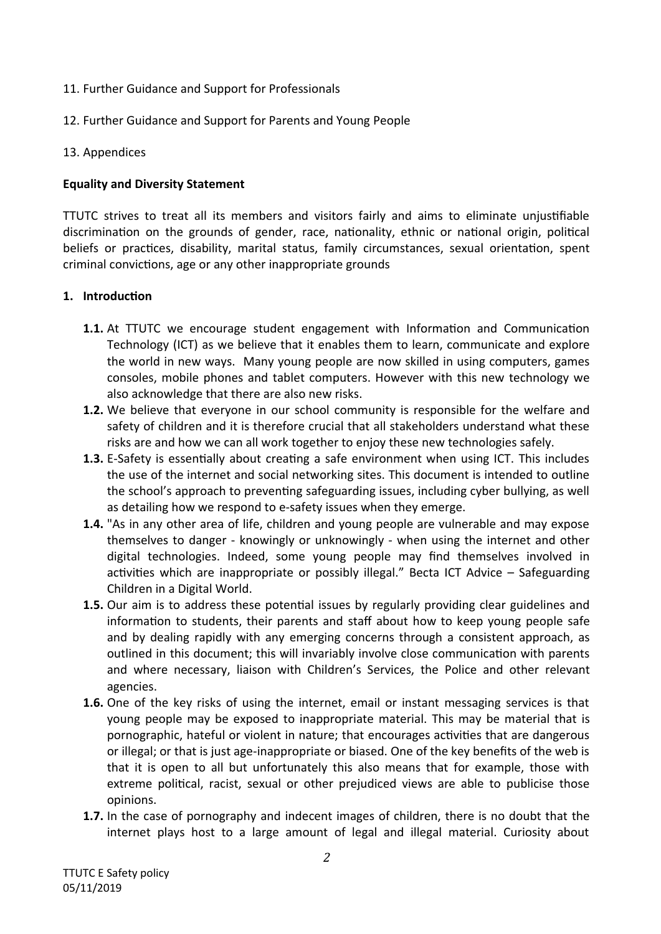- 11. Further Guidance and Support for Professionals
- 12. Further Guidance and Support for Parents and Young People
- 13. Appendices

# **Equality and Diversity Statement**

TTUTC strives to treat all its members and visitors fairly and aims to eliminate unjustifiable discrimination on the grounds of gender, race, nationality, ethnic or national origin, political beliefs or practices, disability, marital status, family circumstances, sexual orientation, spent criminal convictions, age or any other inappropriate grounds

# **1. Introduction**

- **1.1.** At TTUTC we encourage student engagement with Information and Communication Technology (ICT) as we believe that it enables them to learn, communicate and explore the world in new ways. Many young people are now skilled in using computers, games consoles, mobile phones and tablet computers. However with this new technology we also acknowledge that there are also new risks.
- **1.2.** We believe that everyone in our school community is responsible for the welfare and safety of children and it is therefore crucial that all stakeholders understand what these risks are and how we can all work together to enjoy these new technologies safely.
- **1.3.** E-Safety is essentially about creating a safe environment when using ICT. This includes the use of the internet and social networking sites. This document is intended to outline the school's approach to preventing safeguarding issues, including cyber bullying, as well as detailing how we respond to e-safety issues when they emerge.
- **1.4.** "As in any other area of life, children and young people are vulnerable and may expose themselves to danger - knowingly or unknowingly - when using the internet and other digital technologies. Indeed, some young people may find themselves involved in activities which are inappropriate or possibly illegal." Becta ICT Advice – Safeguarding Children in a Digital World.
- **1.5.** Our aim is to address these potential issues by regularly providing clear guidelines and information to students, their parents and staff about how to keep young people safe and by dealing rapidly with any emerging concerns through a consistent approach, as outlined in this document; this will invariably involve close communication with parents and where necessary, liaison with Children's Services, the Police and other relevant agencies.
- **1.6.** One of the key risks of using the internet, email or instant messaging services is that young people may be exposed to inappropriate material. This may be material that is pornographic, hateful or violent in nature; that encourages activities that are dangerous or illegal; or that is just age-inappropriate or biased. One of the key benefits of the web is that it is open to all but unfortunately this also means that for example, those with extreme political, racist, sexual or other prejudiced views are able to publicise those opinions.
- **1.7.** In the case of pornography and indecent images of children, there is no doubt that the internet plays host to a large amount of legal and illegal material. Curiosity about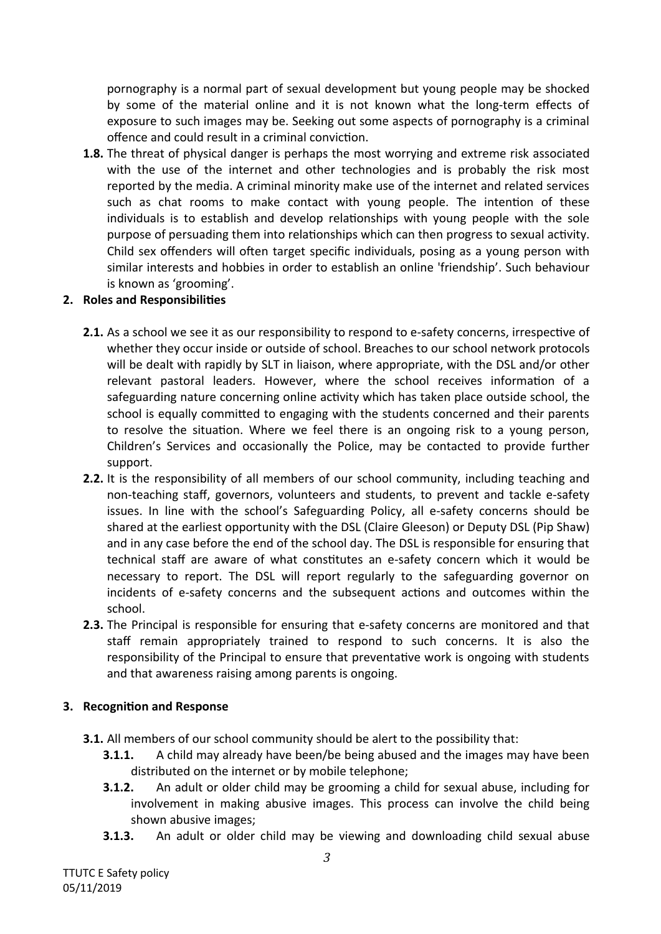pornography is a normal part of sexual development but young people may be shocked by some of the material online and it is not known what the long-term effects of exposure to such images may be. Seeking out some aspects of pornography is a criminal offence and could result in a criminal conviction.

**1.8.** The threat of physical danger is perhaps the most worrying and extreme risk associated with the use of the internet and other technologies and is probably the risk most reported by the media. A criminal minority make use of the internet and related services such as chat rooms to make contact with young people. The intention of these individuals is to establish and develop relationships with young people with the sole purpose of persuading them into relationships which can then progress to sexual activity. Child sex offenders will often target specific individuals, posing as a young person with similar interests and hobbies in order to establish an online 'friendship'. Such behaviour is known as 'grooming'.

#### **2. Roles and Responsibilities**

- **2.1.** As a school we see it as our responsibility to respond to e-safety concerns, irrespective of whether they occur inside or outside of school. Breaches to our school network protocols will be dealt with rapidly by SLT in liaison, where appropriate, with the DSL and/or other relevant pastoral leaders. However, where the school receives information of a safeguarding nature concerning online activity which has taken place outside school, the school is equally committed to engaging with the students concerned and their parents to resolve the situation. Where we feel there is an ongoing risk to a young person, Children's Services and occasionally the Police, may be contacted to provide further support.
- **2.2.** It is the responsibility of all members of our school community, including teaching and non-teaching staff, governors, volunteers and students, to prevent and tackle e-safety issues. In line with the school's Safeguarding Policy, all e-safety concerns should be shared at the earliest opportunity with the DSL (Claire Gleeson) or Deputy DSL (Pip Shaw) and in any case before the end of the school day. The DSL is responsible for ensuring that technical staff are aware of what constitutes an e-safety concern which it would be necessary to report. The DSL will report regularly to the safeguarding governor on incidents of e-safety concerns and the subsequent actions and outcomes within the school.
- **2.3.** The Principal is responsible for ensuring that e-safety concerns are monitored and that staff remain appropriately trained to respond to such concerns. It is also the responsibility of the Principal to ensure that preventative work is ongoing with students and that awareness raising among parents is ongoing.

#### **3. Recognition and Response**

- **3.1.** All members of our school community should be alert to the possibility that:
	- **3.1.1.** A child may already have been/be being abused and the images may have been distributed on the internet or by mobile telephone;
	- **3.1.2.** An adult or older child may be grooming a child for sexual abuse, including for involvement in making abusive images. This process can involve the child being shown abusive images;
	- **3.1.3.** An adult or older child may be viewing and downloading child sexual abuse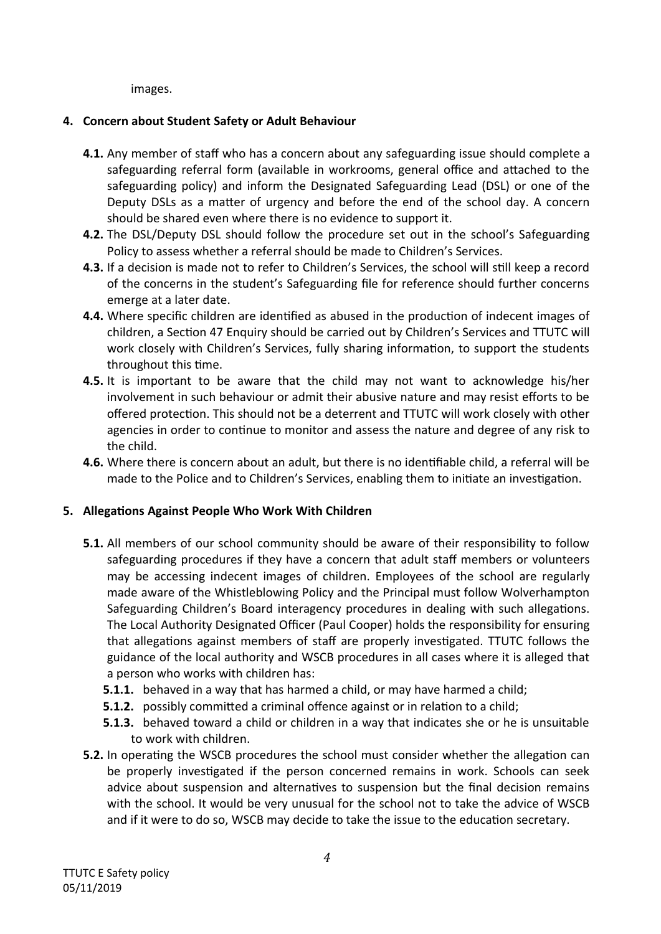images.

# **4. Concern about Student Safety or Adult Behaviour**

- **4.1.** Any member of staff who has a concern about any safeguarding issue should complete a safeguarding referral form (available in workrooms, general office and attached to the safeguarding policy) and inform the Designated Safeguarding Lead (DSL) or one of the Deputy DSLs as a matter of urgency and before the end of the school day. A concern should be shared even where there is no evidence to support it.
- **4.2.** The DSL/Deputy DSL should follow the procedure set out in the school's Safeguarding Policy to assess whether a referral should be made to Children's Services.
- **4.3.** If a decision is made not to refer to Children's Services, the school will still keep a record of the concerns in the student's Safeguarding file for reference should further concerns emerge at a later date.
- **4.4.** Where specific children are identified as abused in the production of indecent images of children, a Section 47 Enquiry should be carried out by Children's Services and TTUTC will work closely with Children's Services, fully sharing information, to support the students throughout this time.
- **4.5.** It is important to be aware that the child may not want to acknowledge his/her involvement in such behaviour or admit their abusive nature and may resist efforts to be offered protection. This should not be a deterrent and TTUTC will work closely with other agencies in order to continue to monitor and assess the nature and degree of any risk to the child.
- **4.6.** Where there is concern about an adult, but there is no identifiable child, a referral will be made to the Police and to Children's Services, enabling them to initiate an investigation.

# **5. Allegations Against People Who Work With Children**

- **5.1.** All members of our school community should be aware of their responsibility to follow safeguarding procedures if they have a concern that adult staff members or volunteers may be accessing indecent images of children. Employees of the school are regularly made aware of the Whistleblowing Policy and the Principal must follow Wolverhampton Safeguarding Children's Board interagency procedures in dealing with such allegations. The Local Authority Designated Officer (Paul Cooper) holds the responsibility for ensuring that allegations against members of staff are properly investigated. TTUTC follows the guidance of the local authority and WSCB procedures in all cases where it is alleged that a person who works with children has:
	- **5.1.1.** behaved in a way that has harmed a child, or may have harmed a child;
	- **5.1.2.** possibly committed a criminal offence against or in relation to a child;
	- **5.1.3.** behaved toward a child or children in a way that indicates she or he is unsuitable to work with children.
- **5.2.** In operating the WSCB procedures the school must consider whether the allegation can be properly investigated if the person concerned remains in work. Schools can seek advice about suspension and alternatives to suspension but the final decision remains with the school. It would be very unusual for the school not to take the advice of WSCB and if it were to do so, WSCB may decide to take the issue to the education secretary.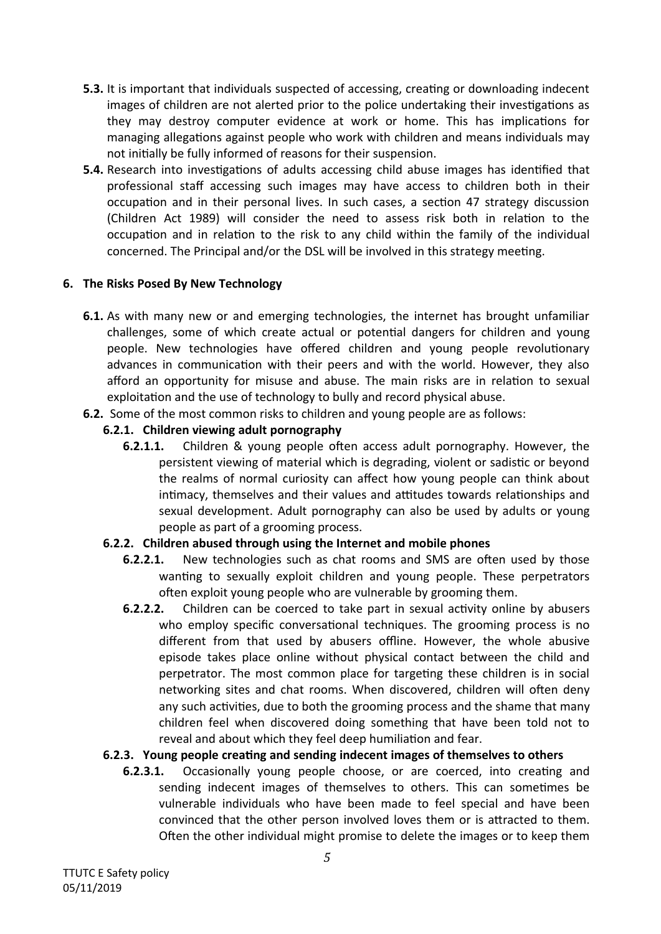- **5.3.** It is important that individuals suspected of accessing, creating or downloading indecent images of children are not alerted prior to the police undertaking their investigations as they may destroy computer evidence at work or home. This has implications for managing allegations against people who work with children and means individuals may not initially be fully informed of reasons for their suspension.
- **5.4.** Research into investigations of adults accessing child abuse images has identified that professional staff accessing such images may have access to children both in their occupation and in their personal lives. In such cases, a section 47 strategy discussion (Children Act 1989) will consider the need to assess risk both in relation to the occupation and in relation to the risk to any child within the family of the individual concerned. The Principal and/or the DSL will be involved in this strategy meeting.

#### **6. The Risks Posed By New Technology**

- **6.1.** As with many new or and emerging technologies, the internet has brought unfamiliar challenges, some of which create actual or potential dangers for children and young people. New technologies have offered children and young people revolutionary advances in communication with their peers and with the world. However, they also afford an opportunity for misuse and abuse. The main risks are in relation to sexual exploitation and the use of technology to bully and record physical abuse.
- **6.2.** Some of the most common risks to children and young people are as follows:

#### **6.2.1. Children viewing adult pornography**

**6.2.1.1.** Children & young people often access adult pornography. However, the persistent viewing of material which is degrading, violent or sadistic or beyond the realms of normal curiosity can affect how young people can think about intimacy, themselves and their values and attitudes towards relationships and sexual development. Adult pornography can also be used by adults or young people as part of a grooming process.

#### **6.2.2. Children abused through using the Internet and mobile phones**

- **6.2.2.1.** New technologies such as chat rooms and SMS are often used by those wanting to sexually exploit children and young people. These perpetrators often exploit young people who are vulnerable by grooming them.
- **6.2.2.2.** Children can be coerced to take part in sexual activity online by abusers who employ specific conversational techniques. The grooming process is no different from that used by abusers offline. However, the whole abusive episode takes place online without physical contact between the child and perpetrator. The most common place for targeting these children is in social networking sites and chat rooms. When discovered, children will often deny any such activities, due to both the grooming process and the shame that many children feel when discovered doing something that have been told not to reveal and about which they feel deep humiliation and fear.

#### **6.2.3. Young people creating and sending indecent images of themselves to others**

**6.2.3.1.** Occasionally young people choose, or are coerced, into creating and sending indecent images of themselves to others. This can sometimes be vulnerable individuals who have been made to feel special and have been convinced that the other person involved loves them or is attracted to them. Often the other individual might promise to delete the images or to keep them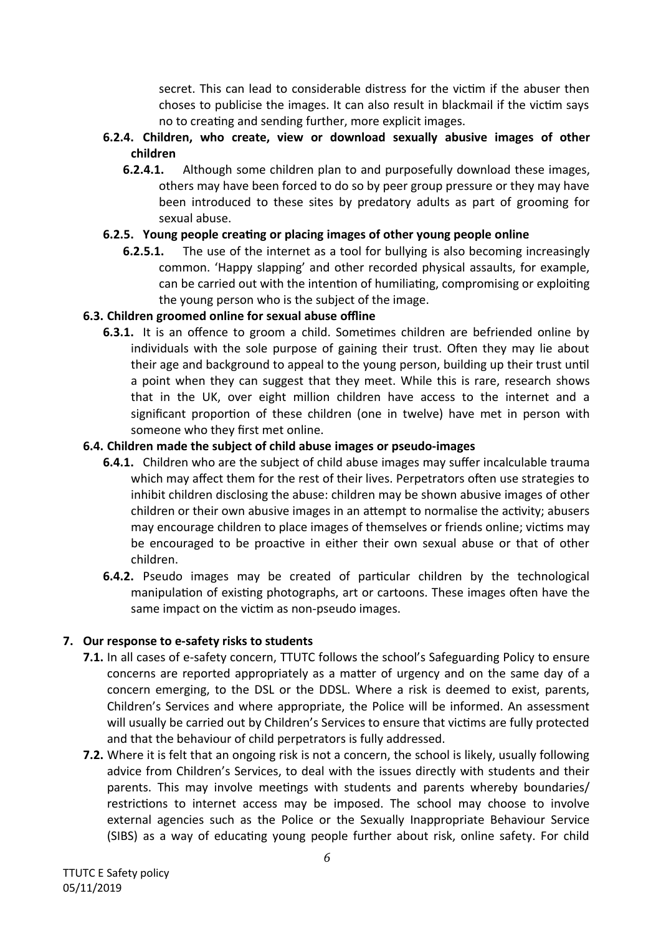secret. This can lead to considerable distress for the victim if the abuser then choses to publicise the images. It can also result in blackmail if the victim says no to creating and sending further, more explicit images.

- **6.2.4. Children, who create, view or download sexually abusive images of other children**
	- **6.2.4.1.** Although some children plan to and purposefully download these images, others may have been forced to do so by peer group pressure or they may have been introduced to these sites by predatory adults as part of grooming for sexual abuse.

# **6.2.5. Young people creating or placing images of other young people online**

**6.2.5.1.** The use of the internet as a tool for bullying is also becoming increasingly common. 'Happy slapping' and other recorded physical assaults, for example, can be carried out with the intention of humiliating, compromising or exploiting the young person who is the subject of the image.

# **6.3. Children groomed online for sexual abuse offline**

**6.3.1.** It is an offence to groom a child. Sometimes children are befriended online by individuals with the sole purpose of gaining their trust. Often they may lie about their age and background to appeal to the young person, building up their trust until a point when they can suggest that they meet. While this is rare, research shows that in the UK, over eight million children have access to the internet and a significant proportion of these children (one in twelve) have met in person with someone who they first met online.

# **6.4. Children made the subject of child abuse images or pseudo-images**

- **6.4.1.** Children who are the subject of child abuse images may suffer incalculable trauma which may affect them for the rest of their lives. Perpetrators often use strategies to inhibit children disclosing the abuse: children may be shown abusive images of other children or their own abusive images in an attempt to normalise the activity; abusers may encourage children to place images of themselves or friends online; victims may be encouraged to be proactive in either their own sexual abuse or that of other children.
- **6.4.2.** Pseudo images may be created of particular children by the technological manipulation of existing photographs, art or cartoons. These images often have the same impact on the victim as non-pseudo images.

# **7. Our response to e-safety risks to students**

- **7.1.** In all cases of e-safety concern, TTUTC follows the school's Safeguarding Policy to ensure concerns are reported appropriately as a matter of urgency and on the same day of a concern emerging, to the DSL or the DDSL. Where a risk is deemed to exist, parents, Children's Services and where appropriate, the Police will be informed. An assessment will usually be carried out by Children's Services to ensure that victims are fully protected and that the behaviour of child perpetrators is fully addressed.
- **7.2.** Where it is felt that an ongoing risk is not a concern, the school is likely, usually following advice from Children's Services, to deal with the issues directly with students and their parents. This may involve meetings with students and parents whereby boundaries/ restrictions to internet access may be imposed. The school may choose to involve external agencies such as the Police or the Sexually Inappropriate Behaviour Service (SIBS) as a way of educating young people further about risk, online safety. For child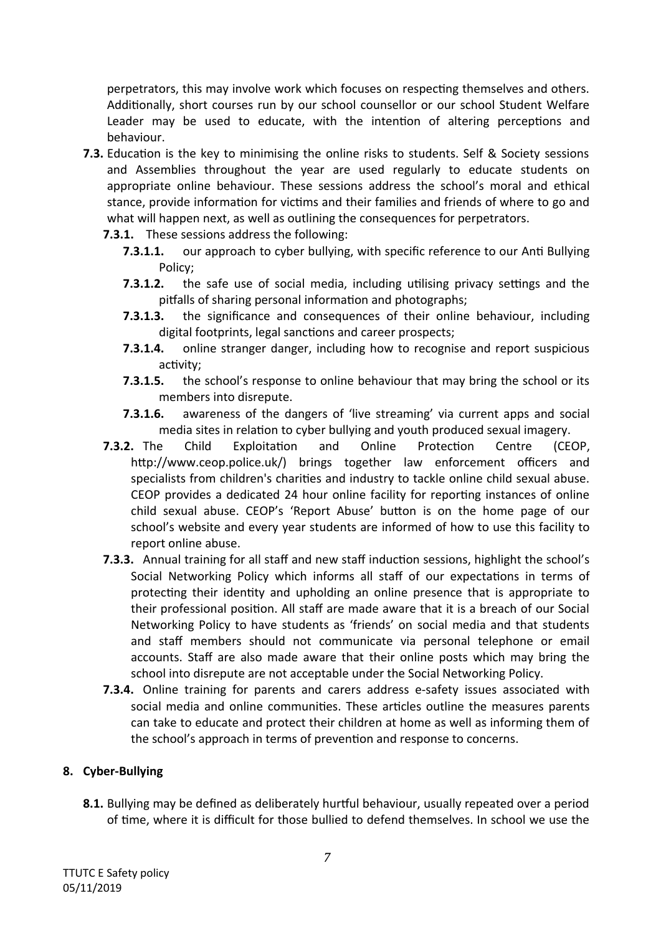perpetrators, this may involve work which focuses on respecting themselves and others. Additionally, short courses run by our school counsellor or our school Student Welfare Leader may be used to educate, with the intention of altering perceptions and behaviour.

- **7.3.** Education is the key to minimising the online risks to students. Self & Society sessions and Assemblies throughout the year are used regularly to educate students on appropriate online behaviour. These sessions address the school's moral and ethical stance, provide information for victims and their families and friends of where to go and what will happen next, as well as outlining the consequences for perpetrators.
	- **7.3.1.** These sessions address the following:
		- **7.3.1.1.** our approach to cyber bullying, with specific reference to our Anti Bullying Policy;
		- **7.3.1.2.** the safe use of social media, including utilising privacy settings and the pitfalls of sharing personal information and photographs;
		- **7.3.1.3.** the significance and consequences of their online behaviour, including digital footprints, legal sanctions and career prospects;
		- **7.3.1.4.** online stranger danger, including how to recognise and report suspicious activity;
		- **7.3.1.5.** the school's response to online behaviour that may bring the school or its members into disrepute.
		- **7.3.1.6.** awareness of the dangers of 'live streaming' via current apps and social media sites in relation to cyber bullying and youth produced sexual imagery.
	- **7.3.2.** The Child Exploitation and Online Protection Centre (CEOP, http://www.ceop.police.uk/) brings together law enforcement officers and specialists from children's charities and industry to tackle online child sexual abuse. CEOP provides a dedicated 24 hour online facility for reporting instances of online child sexual abuse. CEOP's 'Report Abuse' button is on the home page of our school's website and every year students are informed of how to use this facility to report online abuse.
	- **7.3.3.** Annual training for all staff and new staff induction sessions, highlight the school's Social Networking Policy which informs all staff of our expectations in terms of protecting their identity and upholding an online presence that is appropriate to their professional position. All staff are made aware that it is a breach of our Social Networking Policy to have students as 'friends' on social media and that students and staff members should not communicate via personal telephone or email accounts. Staff are also made aware that their online posts which may bring the school into disrepute are not acceptable under the Social Networking Policy.
	- **7.3.4.** Online training for parents and carers address e-safety issues associated with social media and online communities. These articles outline the measures parents can take to educate and protect their children at home as well as informing them of the school's approach in terms of prevention and response to concerns.

#### **8. Cyber-Bullying**

**8.1.** Bullying may be defined as deliberately hurtful behaviour, usually repeated over a period of time, where it is difficult for those bullied to defend themselves. In school we use the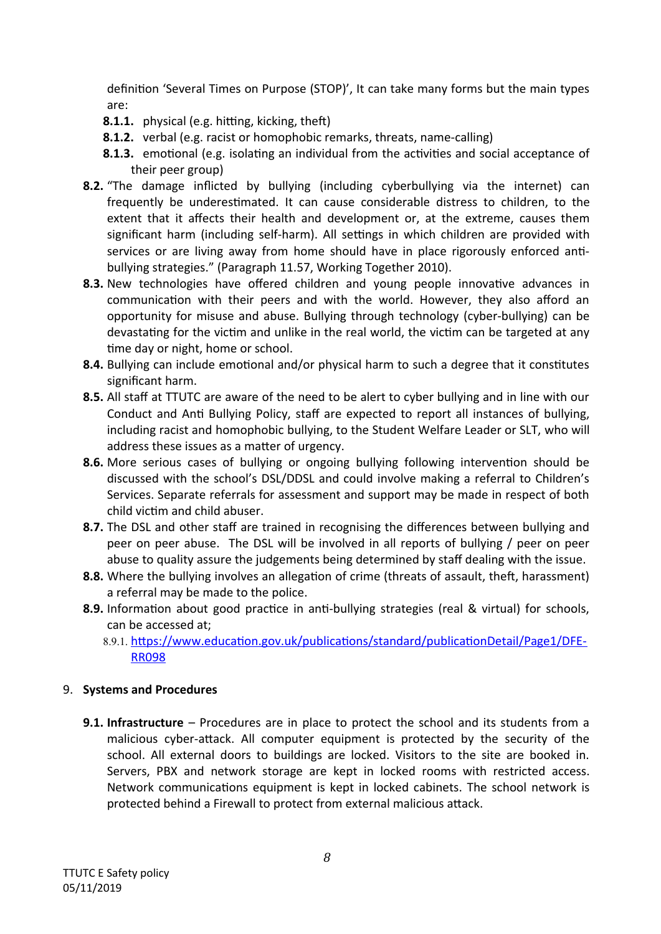definition 'Several Times on Purpose (STOP)', It can take many forms but the main types are:

- **8.1.1.** physical (e.g. hitting, kicking, theft)
- **8.1.2.** verbal (e.g. racist or homophobic remarks, threats, name-calling)
- **8.1.3.** emotional (e.g. isolating an individual from the activities and social acceptance of their peer group)
- **8.2.** "The damage inflicted by bullying (including cyberbullying via the internet) can frequently be underestimated. It can cause considerable distress to children, to the extent that it affects their health and development or, at the extreme, causes them significant harm (including self-harm). All settings in which children are provided with services or are living away from home should have in place rigorously enforced antibullying strategies." (Paragraph 11.57, Working Together 2010).
- **8.3.** New technologies have offered children and young people innovative advances in communication with their peers and with the world. However, they also afford an opportunity for misuse and abuse. Bullying through technology (cyber-bullying) can be devastating for the victim and unlike in the real world, the victim can be targeted at any time day or night, home or school.
- **8.4.** Bullying can include emotional and/or physical harm to such a degree that it constitutes significant harm.
- **8.5.** All staff at TTUTC are aware of the need to be alert to cyber bullying and in line with our Conduct and Anti Bullying Policy, staff are expected to report all instances of bullying, including racist and homophobic bullying, to the Student Welfare Leader or SLT, who will address these issues as a matter of urgency.
- **8.6.** More serious cases of bullying or ongoing bullying following intervention should be discussed with the school's DSL/DDSL and could involve making a referral to Children's Services. Separate referrals for assessment and support may be made in respect of both child victim and child abuser.
- **8.7.** The DSL and other staff are trained in recognising the differences between bullying and peer on peer abuse. The DSL will be involved in all reports of bullying / peer on peer abuse to quality assure the judgements being determined by staff dealing with the issue.
- **8.8.** Where the bullying involves an allegation of crime (threats of assault, theft, harassment) a referral may be made to the police.
- **8.9.** Information about good practice in anti-bullying strategies (real & virtual) for schools, can be accessed at;
	- 8.9.1. [https://www.education.gov.uk/publications/standard/publicationDetail/Page1/DFE-](https://www.education.gov.uk/publications/standard/publicationDetail/Page1/DFE-RR098)[RR098](https://www.education.gov.uk/publications/standard/publicationDetail/Page1/DFE-RR098)

#### 9. **Systems and Procedures**

**9.1. Infrastructure** – Procedures are in place to protect the school and its students from a malicious cyber-attack. All computer equipment is protected by the security of the school. All external doors to buildings are locked. Visitors to the site are booked in. Servers, PBX and network storage are kept in locked rooms with restricted access. Network communications equipment is kept in locked cabinets. The school network is protected behind a Firewall to protect from external malicious attack.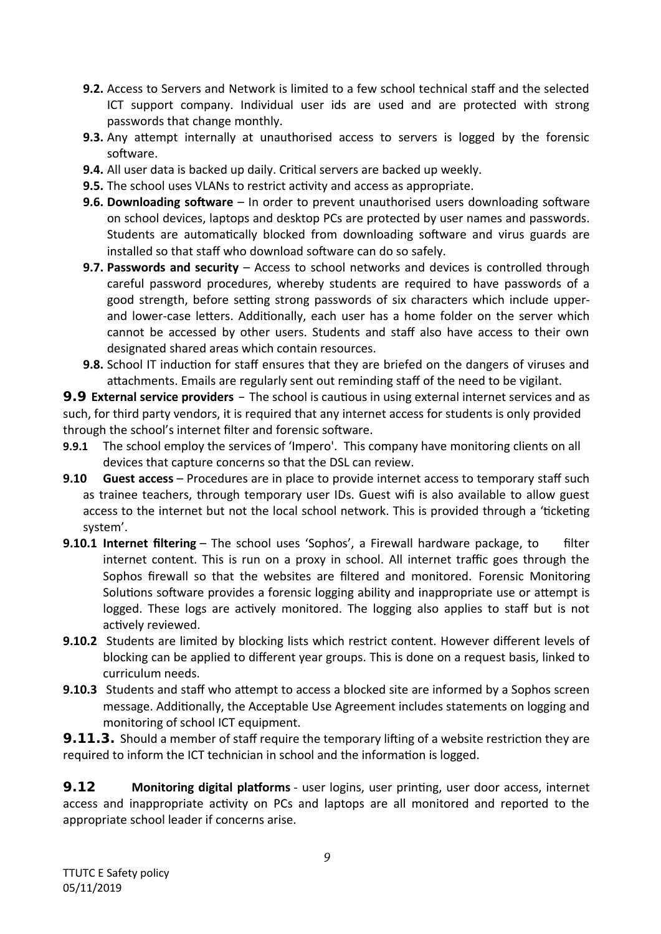- **9.2.** Access to Servers and Network is limited to a few school technical staff and the selected ICT support company. Individual user ids are used and are protected with strong passwords that change monthly.
- **9.3.** Any attempt internally at unauthorised access to servers is logged by the forensic software.
- **9.4.** All user data is backed up daily. Critical servers are backed up weekly.
- **9.5.** The school uses VLANs to restrict activity and access as appropriate.
- **9.6. Downloading software** In order to prevent unauthorised users downloading software on school devices, laptops and desktop PCs are protected by user names and passwords. Students are automatically blocked from downloading software and virus guards are installed so that staff who download software can do so safely.
- **9.7. Passwords and security** Access to school networks and devices is controlled through careful password procedures, whereby students are required to have passwords of a good strength, before setting strong passwords of six characters which include upperand lower-case letters. Additionally, each user has a home folder on the server which cannot be accessed by other users. Students and staff also have access to their own designated shared areas which contain resources.
- **9.8.** School IT induction for staff ensures that they are briefed on the dangers of viruses and attachments. Emails are regularly sent out reminding staff of the need to be vigilant.

**9.9 External service providers** – The school is cautious in using external internet services and as such, for third party vendors, it is required that any internet access for students is only provided through the school's internet filter and forensic software.

- **9.9.1** The school employ the services of 'Impero'. This company have monitoring clients on all devices that capture concerns so that the DSL can review.
- **9.10 Guest access** Procedures are in place to provide internet access to temporary staff such as trainee teachers, through temporary user IDs. Guest wifi is also available to allow guest access to the internet but not the local school network. This is provided through a 'ticketing system'.
- **9.10.1 Internet filtering** The school uses 'Sophos', a Firewall hardware package, to filter internet content. This is run on a proxy in school. All internet traffic goes through the Sophos firewall so that the websites are filtered and monitored. Forensic Monitoring Solutions software provides a forensic logging ability and inappropriate use or attempt is logged. These logs are actively monitored. The logging also applies to staff but is not actively reviewed.
- **9.10.2** Students are limited by blocking lists which restrict content. However different levels of blocking can be applied to different year groups. This is done on a request basis, linked to curriculum needs.
- **9.10.3** Students and staff who attempt to access a blocked site are informed by a Sophos screen message. Additionally, the Acceptable Use Agreement includes statements on logging and monitoring of school ICT equipment.

**9.11.3.** Should a member of staff require the temporary lifting of a website restriction they are required to inform the ICT technician in school and the information is logged.

**9.12 Monitoring digital platforms** - user logins, user printing, user door access, internet access and inappropriate activity on PCs and laptops are all monitored and reported to the appropriate school leader if concerns arise.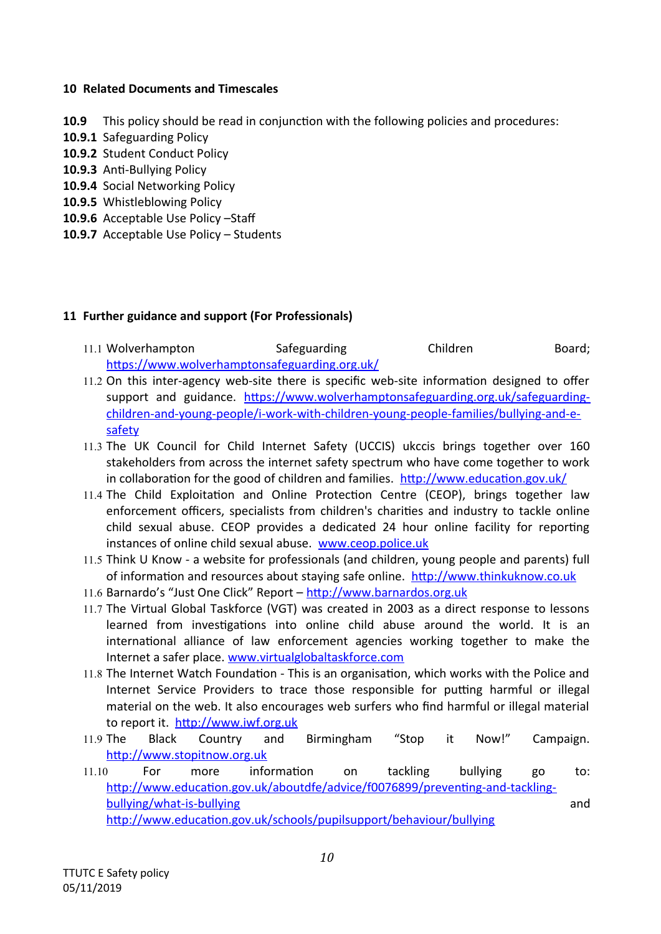#### **10 Related Documents and Timescales**

**10.9** This policy should be read in conjunction with the following policies and procedures:

- **10.9.1** Safeguarding Policy
- **10.9.2** Student Conduct Policy
- **10.9.3** Anti-Bullying Policy
- **10.9.4** Social Networking Policy
- **10.9.5** Whistleblowing Policy
- **10.9.6** Acceptable Use Policy –Staff
- **10.9.7** Acceptable Use Policy Students

#### **11 Further guidance and support (For Professionals)**

- 11.1 Wolverhampton Safeguarding Children Board; <https://www.wolverhamptonsafeguarding.org.uk/>
- 11.2 On this inter-agency web-site there is specific web-site information designed to offer support and guidance. [https://www.wolverhamptonsafeguarding.org.uk/safeguarding](https://www.wolverhamptonsafeguarding.org.uk/safeguarding-children-and-young-people/i-work-with-children-young-people-families/bullying-and-e-safety)[children-and-young-people/i-work-with-children-young-people-families/bullying-and-e](https://www.wolverhamptonsafeguarding.org.uk/safeguarding-children-and-young-people/i-work-with-children-young-people-families/bullying-and-e-safety)[safety](https://www.wolverhamptonsafeguarding.org.uk/safeguarding-children-and-young-people/i-work-with-children-young-people-families/bullying-and-e-safety)
- 11.3 The UK Council for Child Internet Safety (UCCIS) ukccis brings together over 160 stakeholders from across the internet safety spectrum who have come together to work in collaboration for the good of children and families. <http://www.education.gov.uk/>
- 11.4 The Child Exploitation and Online Protection Centre (CEOP), brings together law enforcement officers, specialists from children's charities and industry to tackle online child sexual abuse. CEOP provides a dedicated 24 hour online facility for reporting instances of online child sexual abuse. [www.ceop.police.uk](http://www.ceop.police.uk/)
- 11.5 Think U Know a website for professionals (and children, young people and parents) full of information and resources about staying safe online. [http://www.thinkuknow.co.uk](http://www.thinkuknow.co.uk/)
- 11.6 Barnardo's "Just One Click" Report [http://www.barnardos.org.uk](http://www.barnardos.org.uk/)
- 11.7 The Virtual Global Taskforce (VGT) was created in 2003 as a direct response to lessons learned from investigations into online child abuse around the world. It is an international alliance of law enforcement agencies working together to make the Internet a safer place. [www.virtualglobaltaskforce.com](http://www.virtualglobaltaskforce.com/)
- 11.8 The Internet Watch Foundation This is an organisation, which works with the Police and Internet Service Providers to trace those responsible for putting harmful or illegal material on the web. It also encourages web surfers who find harmful or illegal material to report it. [http://www.iwf.org.uk](http://www.iwf.org.uk/)
- 11.9 The Black Country and Birmingham "Stop it Now!" Campaign. [http://www.stopitnow.org.uk](http://www.stopitnow.org.uk/)
- 11.10 For more information on tackling bullying go to: [http://www.education.gov.uk/aboutdfe/advice/f0076899/preventing-and-tackling](http://www.education.gov.uk/aboutdfe/advice/f0076899/preventing-and-tackling-bullying/what-is-bullying%20)[bullying/what-is-bullying](http://www.education.gov.uk/aboutdfe/advice/f0076899/preventing-and-tackling-bullying/what-is-bullying%20) and and the state of the state of the state and and state of the state of the state of the state of the state of the state of the state of the state of the state of the state of the state of the s <http://www.education.gov.uk/schools/pupilsupport/behaviour/bullying>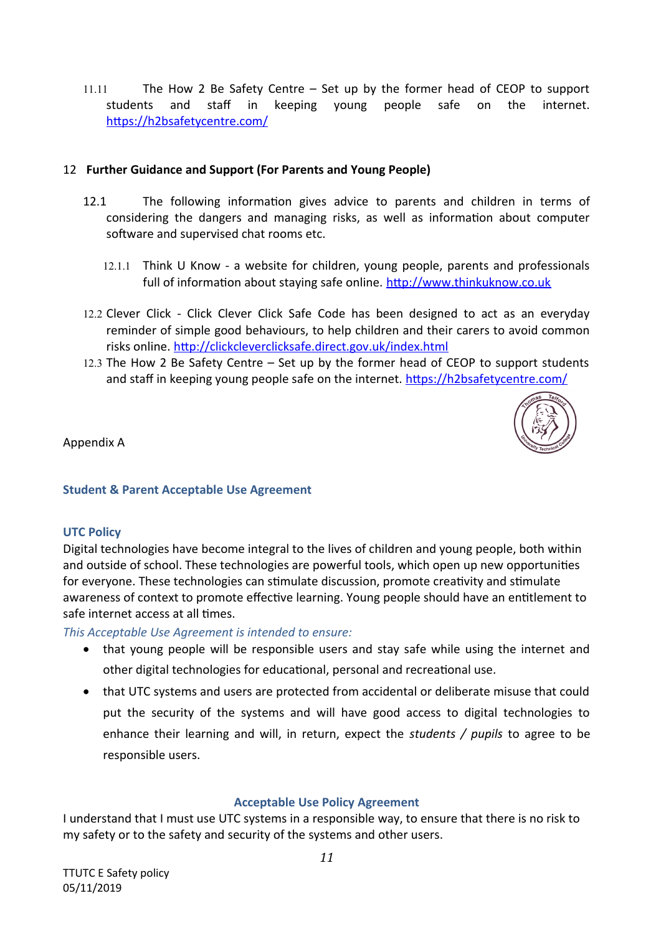11.11 The How 2 Be Safety Centre – Set up by the former head of CEOP to support students and staff in keeping young people safe on the internet. <https://h2bsafetycentre.com/>

#### 12 **Further Guidance and Support (For Parents and Young People)**

- 12.1 The following information gives advice to parents and children in terms of considering the dangers and managing risks, as well as information about computer software and supervised chat rooms etc.
	- 12.1.1 Think U Know a website for children, young people, parents and professionals full of information about staying safe online. [http://www.thinkuknow.co.uk](http://www.thinkuknow.co.uk/)
- 12.2 Clever Click Click Clever Click Safe Code has been designed to act as an everyday reminder of simple good behaviours, to help children and their carers to avoid common risks online.<http://clickcleverclicksafe.direct.gov.uk/index.html>
- 12.3 The How 2 Be Safety Centre Set up by the former head of CEOP to support students and staff in keeping young people safe on the internet.<https://h2bsafetycentre.com/>



Appendix A

#### **Student & Parent Acceptable Use Agreement**

#### **UTC Policy**

Digital technologies have become integral to the lives of children and young people, both within and outside of school. These technologies are powerful tools, which open up new opportunities for everyone. These technologies can stimulate discussion, promote creativity and stimulate awareness of context to promote effective learning. Young people should have an entitlement to safe internet access at all times.

*This Acceptable Use Agreement is intended to ensure:*

- that young people will be responsible users and stay safe while using the internet and other digital technologies for educational, personal and recreational use.
- that UTC systems and users are protected from accidental or deliberate misuse that could put the security of the systems and will have good access to digital technologies to enhance their learning and will, in return, expect the *students / pupils* to agree to be responsible users.

#### **Acceptable Use Policy Agreement**

I understand that I must use UTC systems in a responsible way, to ensure that there is no risk to my safety or to the safety and security of the systems and other users.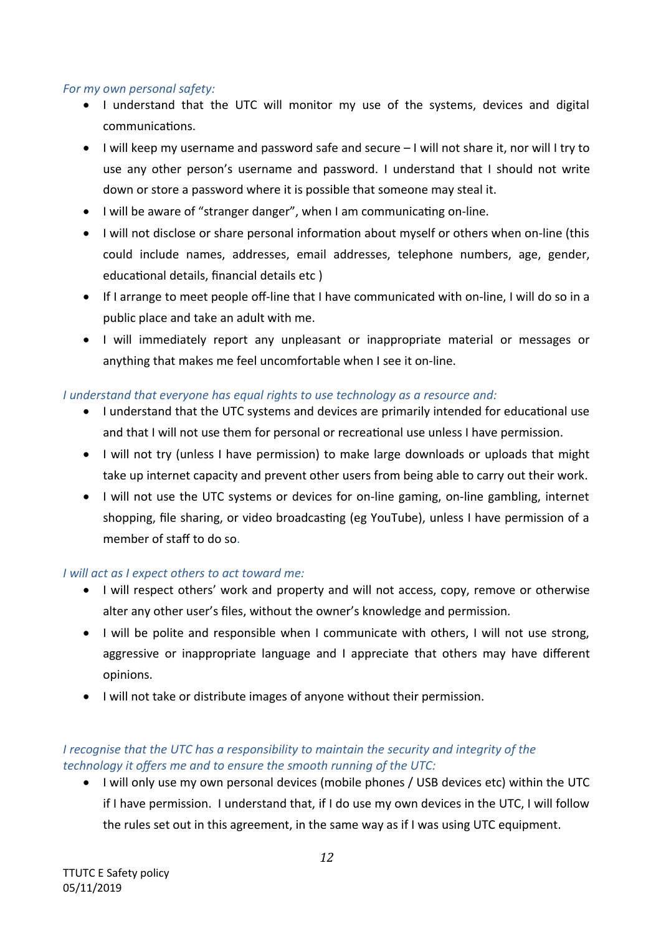#### *For my own personal safety:*

- I understand that the UTC will monitor my use of the systems, devices and digital communications.
- I will keep my username and password safe and secure I will not share it, nor will I try to use any other person's username and password. I understand that I should not write down or store a password where it is possible that someone may steal it.
- I will be aware of "stranger danger", when I am communicating on-line.
- I will not disclose or share personal information about myself or others when on-line (this could include names, addresses, email addresses, telephone numbers, age, gender, educational details, financial details etc )
- If I arrange to meet people off-line that I have communicated with on-line, I will do so in a public place and take an adult with me.
- I will immediately report any unpleasant or inappropriate material or messages or anything that makes me feel uncomfortable when I see it on-line.

#### *I understand that everyone has equal rights to use technology as a resource and:*

- I understand that the UTC systems and devices are primarily intended for educational use and that I will not use them for personal or recreational use unless I have permission.
- I will not try (unless I have permission) to make large downloads or uploads that might take up internet capacity and prevent other users from being able to carry out their work.
- I will not use the UTC systems or devices for on-line gaming, on-line gambling, internet shopping, file sharing, or video broadcasting (eg YouTube), unless I have permission of a member of staff to do so.

#### *I will act as I expect others to act toward me:*

- I will respect others' work and property and will not access, copy, remove or otherwise alter any other user's files, without the owner's knowledge and permission.
- I will be polite and responsible when I communicate with others, I will not use strong, aggressive or inappropriate language and I appreciate that others may have different opinions.
- I will not take or distribute images of anyone without their permission.

# *I recognise that the UTC has a responsibility to maintain the security and integrity of the technology it offers me and to ensure the smooth running of the UTC:*

 I will only use my own personal devices (mobile phones / USB devices etc) within the UTC if I have permission. I understand that, if I do use my own devices in the UTC, I will follow the rules set out in this agreement, in the same way as if I was using UTC equipment.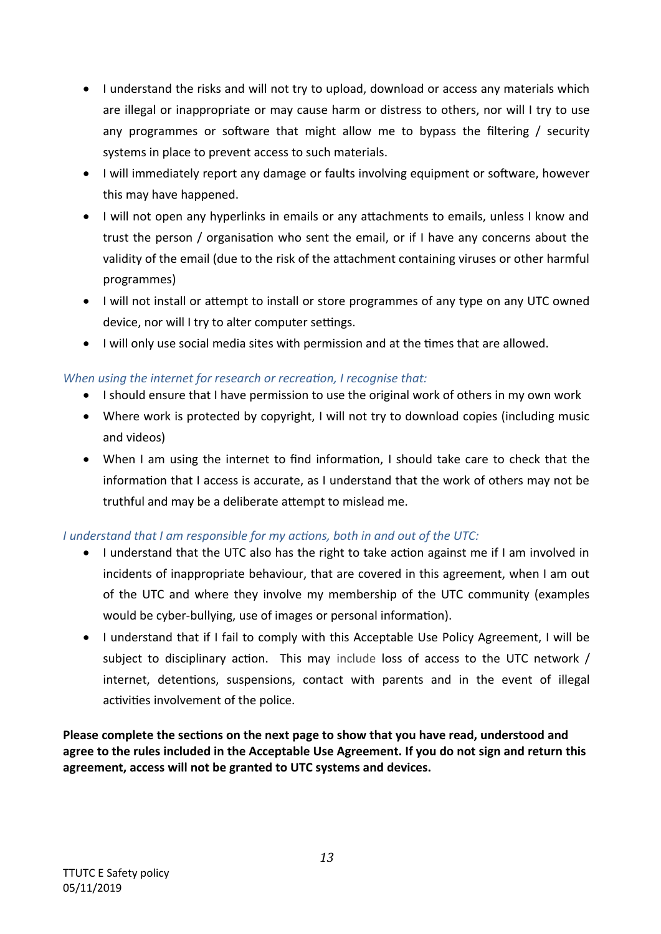- I understand the risks and will not try to upload, download or access any materials which are illegal or inappropriate or may cause harm or distress to others, nor will I try to use any programmes or software that might allow me to bypass the filtering / security systems in place to prevent access to such materials.
- I will immediately report any damage or faults involving equipment or software, however this may have happened.
- I will not open any hyperlinks in emails or any attachments to emails, unless I know and trust the person / organisation who sent the email, or if I have any concerns about the validity of the email (due to the risk of the attachment containing viruses or other harmful programmes)
- I will not install or attempt to install or store programmes of any type on any UTC owned device, nor will I try to alter computer settings.
- I will only use social media sites with permission and at the times that are allowed.

# *When using the internet for research or recreation, I recognise that:*

- I should ensure that I have permission to use the original work of others in my own work
- Where work is protected by copyright, I will not try to download copies (including music and videos)
- When I am using the internet to find information, I should take care to check that the information that I access is accurate, as I understand that the work of others may not be truthful and may be a deliberate attempt to mislead me.

# *I understand that I am responsible for my actions, both in and out of the UTC:*

- I understand that the UTC also has the right to take action against me if I am involved in incidents of inappropriate behaviour, that are covered in this agreement, when I am out of the UTC and where they involve my membership of the UTC community (examples would be cyber-bullying, use of images or personal information).
- I understand that if I fail to comply with this Acceptable Use Policy Agreement, I will be subject to disciplinary action. This may include loss of access to the UTC network / internet, detentions, suspensions, contact with parents and in the event of illegal activities involvement of the police.

**Please complete the sections on the next page to show that you have read, understood and agree to the rules included in the Acceptable Use Agreement. If you do not sign and return this agreement, access will not be granted to UTC systems and devices.**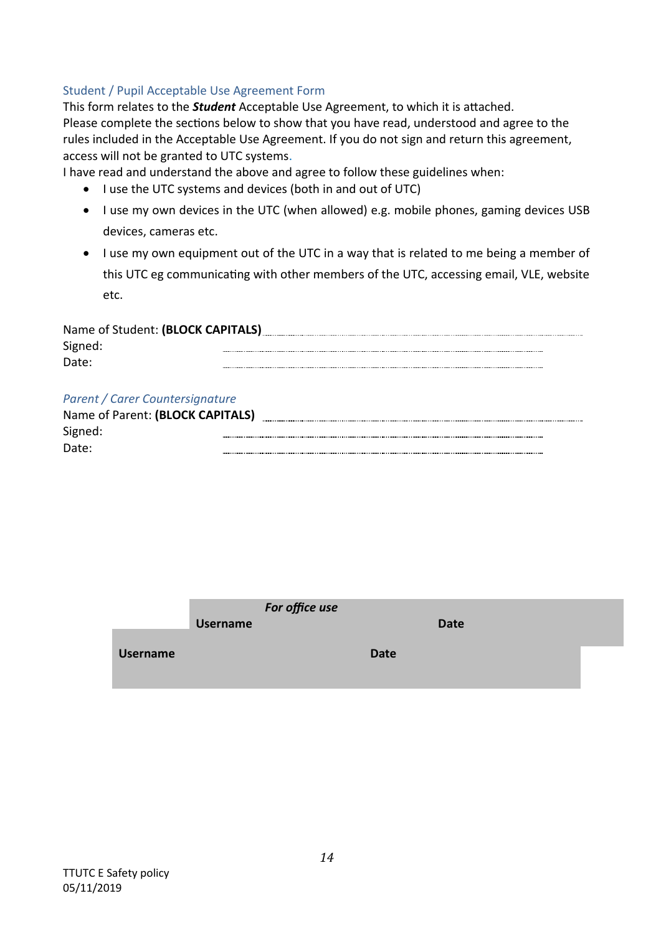# Student / Pupil Acceptable Use Agreement Form

This form relates to the *Student* Acceptable Use Agreement, to which it is attached. Please complete the sections below to show that you have read, understood and agree to the rules included in the Acceptable Use Agreement. If you do not sign and return this agreement, access will not be granted to UTC systems.

I have read and understand the above and agree to follow these guidelines when:

- I use the UTC systems and devices (both in and out of UTC)
- I use my own devices in the UTC (when allowed) e.g. mobile phones, gaming devices USB devices, cameras etc.
- I use my own equipment out of the UTC in a way that is related to me being a member of this UTC eg communicating with other members of the UTC, accessing email, VLE, website etc.

| Name of Student: (BLOCK CAPITALS) |  |  |  |  |
|-----------------------------------|--|--|--|--|
| Signed:                           |  |  |  |  |
| Date:                             |  |  |  |  |

#### *Parent / Carer Countersignature*

| Name of Parent: (BLOCK CAPITALS) |  |
|----------------------------------|--|
| Signed:                          |  |
| Date:                            |  |

|                 | <b>Username</b> | For office use |             | <b>Date</b> |  |
|-----------------|-----------------|----------------|-------------|-------------|--|
| <b>Username</b> |                 |                | <b>Date</b> |             |  |